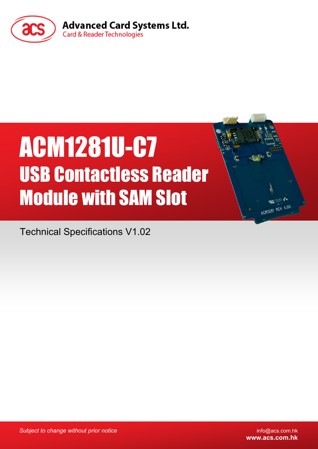

# ACM1281U-C7 USB Contactless Reader Module with SAM Slot

Technical Specifications V1.02

*Subject to change without prior notice* info@acs.com.hk

**www.acs.com.hk**

**RASSES** ACR1281 REV 4.00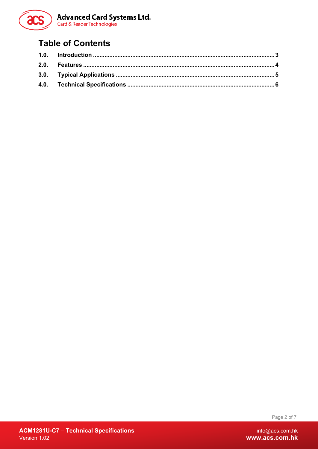

## **Table of Contents**

Page 2 of 7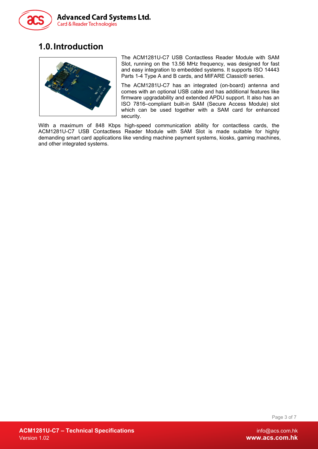

## <span id="page-2-0"></span>**1.0.Introduction**



The ACM1281U-C7 USB Contactless Reader Module with SAM Slot, running on the 13.56 MHz frequency, was designed for fast and easy integration to embedded systems. It supports ISO 14443 Parts 1-4 Type A and B cards, and MIFARE Classic® series.

The ACM1281U-C7 has an integrated (on-board) antenna and comes with an optional USB cable and has additional features like firmware upgradability and extended APDU support. It also has an ISO 7816–compliant built-in SAM (Secure Access Module) slot which can be used together with a SAM card for enhanced security.

With a maximum of 848 Kbps high-speed communication ability for contactless cards, the ACM1281U-C7 USB Contactless Reader Module with SAM Slot is made suitable for highly demanding smart card applications like vending machine payment systems, kiosks, gaming machines, and other integrated systems.

Page 3 of 7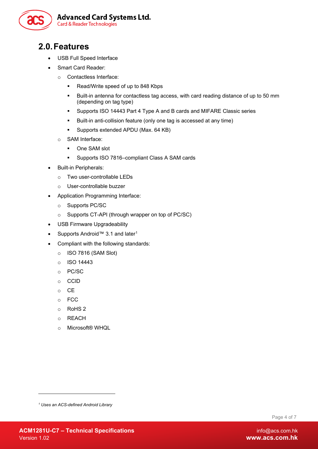

### <span id="page-3-0"></span>**2.0.Features**

- USB Full Speed Interface
- Smart Card Reader:
	- o Contactless Interface:
		- Read/Write speed of up to 848 Kbps
		- Built-in antenna for contactless tag access, with card reading distance of up to 50 mm (depending on tag type)
		- **Supports ISO 14443 Part 4 Type A and B cards and MIFARE Classic series**
		- Built-in anti-collision feature (only one tag is accessed at any time)
		- **Supports extended APDU (Max. 64 KB)**
	- o SAM Interface:
		- **Dome SAM slot**
		- Supports ISO 7816–compliant Class A SAM cards
- Built-in Peripherals:
	- o Two user-controllable LEDs
	- o User-controllable buzzer
- Application Programming Interface:
	- o Supports PC/SC
	- o Supports CT-API (through wrapper on top of PC/SC)
- USB Firmware Upgradeability
- Supports Android™ 3.[1](#page-3-1) and later<sup>1</sup>
- Compliant with the following standards:
	- o ISO 7816 (SAM Slot)
	- o ISO 14443
	- o PC/SC
	- o CCID
	- o CE
	- o FCC
	- o RoHS 2
	- o REACH
	- o Microsoft® WHQL

-

Page 4 of 7

<span id="page-3-1"></span>*<sup>1</sup> Uses an ACS-defined Android Library*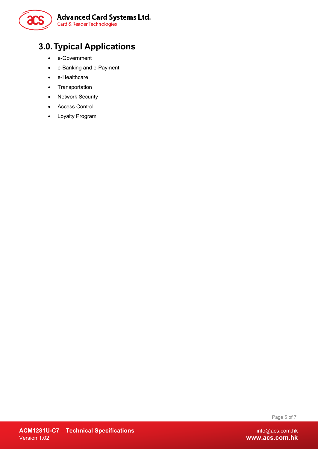

# <span id="page-4-0"></span>**3.0.Typical Applications**

- e-Government
- e-Banking and e-Payment
- e-Healthcare
- Transportation
- Network Security
- Access Control
- Loyalty Program

Page 5 of 7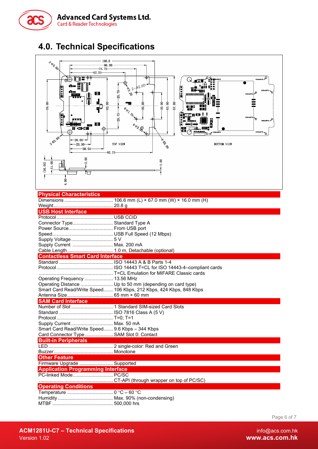

# <span id="page-5-0"></span>**4.0. Technical Specifications**



#### **Physical Characteristics** Dimensions .................................... 106.6 mm (L) × 67.0 mm (W) × 16.0 mm (H)

| <b>USB Host Interface</b>                                        |                                                                    |  |  |
|------------------------------------------------------------------|--------------------------------------------------------------------|--|--|
|                                                                  |                                                                    |  |  |
| Connector Type Standard Type A                                   |                                                                    |  |  |
| Power Source From USB port                                       |                                                                    |  |  |
|                                                                  |                                                                    |  |  |
|                                                                  |                                                                    |  |  |
| Supply Current  Max. 200 mA                                      |                                                                    |  |  |
|                                                                  |                                                                    |  |  |
| <b>Contactless Smart Card Interface</b>                          |                                                                    |  |  |
|                                                                  |                                                                    |  |  |
|                                                                  |                                                                    |  |  |
|                                                                  |                                                                    |  |  |
| Operating Frequency  13.56 MHz                                   |                                                                    |  |  |
|                                                                  | Operating Distance  Up to 50 mm (depending on card type)           |  |  |
|                                                                  | Smart Card Read/Write Speed 106 Kbps, 212 Kbps, 424 Kbps, 848 Kbps |  |  |
|                                                                  |                                                                    |  |  |
| <b>SAM Card Interface</b>                                        |                                                                    |  |  |
|                                                                  |                                                                    |  |  |
|                                                                  |                                                                    |  |  |
|                                                                  |                                                                    |  |  |
| Supply Current  Max. 50 mA                                       |                                                                    |  |  |
| Smart Card Read/Write Speed 9.6 Kbps - 344 Kbps                  |                                                                    |  |  |
| Card Connector Type SAM Slot 0: Contact                          |                                                                    |  |  |
| <b>Built-in Peripherals</b>                                      |                                                                    |  |  |
|                                                                  |                                                                    |  |  |
|                                                                  |                                                                    |  |  |
| <b>Other Feature</b>                                             |                                                                    |  |  |
| Firmware Upgrade  Supported                                      |                                                                    |  |  |
| <b>Application Programming Interface</b><br>PC-linked Mode PC/SC |                                                                    |  |  |
|                                                                  |                                                                    |  |  |
|                                                                  |                                                                    |  |  |
| <b>Operating Conditions</b>                                      |                                                                    |  |  |
|                                                                  |                                                                    |  |  |
|                                                                  |                                                                    |  |  |
|                                                                  |                                                                    |  |  |